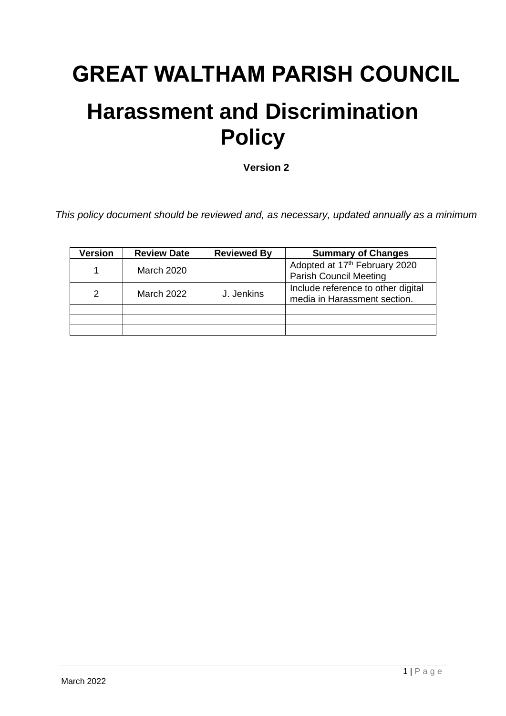## **GREAT WALTHAM PARISH COUNCIL**

## **Harassment and Discrimination Policy**

**Version 2**

*This policy document should be reviewed and, as necessary, updated annually as a minimum*

| Version       | <b>Review Date</b> | <b>Reviewed By</b> | <b>Summary of Changes</b>                                                  |
|---------------|--------------------|--------------------|----------------------------------------------------------------------------|
|               | March 2020         |                    | Adopted at 17 <sup>th</sup> February 2020<br><b>Parish Council Meeting</b> |
| $\mathcal{P}$ | <b>March 2022</b>  | J. Jenkins         | Include reference to other digital<br>media in Harassment section.         |
|               |                    |                    |                                                                            |
|               |                    |                    |                                                                            |
|               |                    |                    |                                                                            |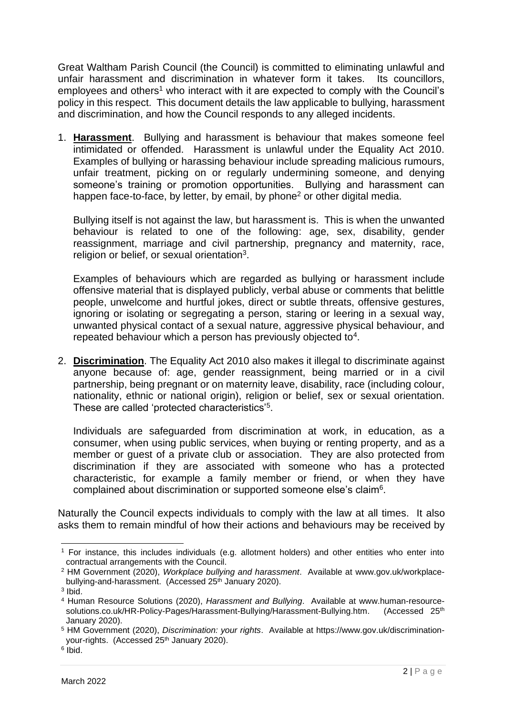Great Waltham Parish Council (the Council) is committed to eliminating unlawful and unfair harassment and discrimination in whatever form it takes. Its councillors, employees and others<sup>1</sup> who interact with it are expected to comply with the Council's policy in this respect. This document details the law applicable to bullying, harassment and discrimination, and how the Council responds to any alleged incidents.

1. **Harassment**. Bullying and harassment is behaviour that makes someone feel intimidated or offended. Harassment is unlawful under the Equality Act 2010. Examples of bullying or harassing behaviour include spreading malicious rumours, unfair treatment, picking on or regularly undermining someone, and denying someone's training or promotion opportunities. Bullying and harassment can happen face-to-face, by letter, by email, by phone<sup>2</sup> or other digital media.

Bullying itself is not against the law, but harassment is. This is when the unwanted behaviour is related to one of the following: age, sex, disability, gender reassignment, marriage and civil partnership, pregnancy and maternity, race, religion or belief, or sexual orientation<sup>3</sup>.

Examples of behaviours which are regarded as bullying or harassment include offensive material that is displayed publicly, verbal abuse or comments that belittle people, unwelcome and hurtful jokes, direct or subtle threats, offensive gestures, ignoring or isolating or segregating a person, staring or leering in a sexual way, unwanted physical contact of a sexual nature, aggressive physical behaviour, and repeated behaviour which a person has previously objected to $4$ .

2. **Discrimination**. The Equality Act 2010 also makes it illegal to discriminate against anyone because of: age, gender reassignment, being married or in a civil partnership, being pregnant or on maternity leave, disability, race (including colour, nationality, ethnic or national origin), religion or belief, sex or sexual orientation. These are called 'protected characteristics'<sup>5</sup>.

Individuals are safeguarded from discrimination at work, in education, as a consumer, when using public services, when buying or renting property, and as a member or guest of a private club or association. They are also protected from discrimination if they are associated with someone who has a protected characteristic, for example a family member or friend, or when they have complained about discrimination or supported someone else's claim<sup>6</sup>.

Naturally the Council expects individuals to comply with the law at all times. It also asks them to remain mindful of how their actions and behaviours may be received by

<sup>1</sup> For instance, this includes individuals (e.g. allotment holders) and other entities who enter into contractual arrangements with the Council.

<sup>2</sup> HM Government (2020), *Workplace bullying and harassment*. Available at [www.gov.uk/workplace](http://www.gov.uk/workplace-bullying-and-harassment)[bullying-and-harassment.](http://www.gov.uk/workplace-bullying-and-harassment) (Accessed 25<sup>th</sup> January 2020).

<sup>3</sup> Ibid.

<sup>4</sup> Human Resource Solutions (2020), *Harassment and Bullying*. Available at [www.human-resource](http://www.human-resource-solutions.co.uk/HR-Policy-Pages/Harassment-Bullying/Harassment-Bullying.htm)[solutions.co.uk/HR-Policy-Pages/Harassment-Bullying/Harassment-Bullying.htm.](http://www.human-resource-solutions.co.uk/HR-Policy-Pages/Harassment-Bullying/Harassment-Bullying.htm) (Accessed 25<sup>th</sup>) January 2020).

<sup>5</sup> HM Government (2020), *Discrimination: your rights*. Available at [https://www.gov.uk/discrimination](https://www.gov.uk/discrimination-your-rights)[your-rights.](https://www.gov.uk/discrimination-your-rights) (Accessed 25th January 2020).

<sup>6</sup> Ibid.